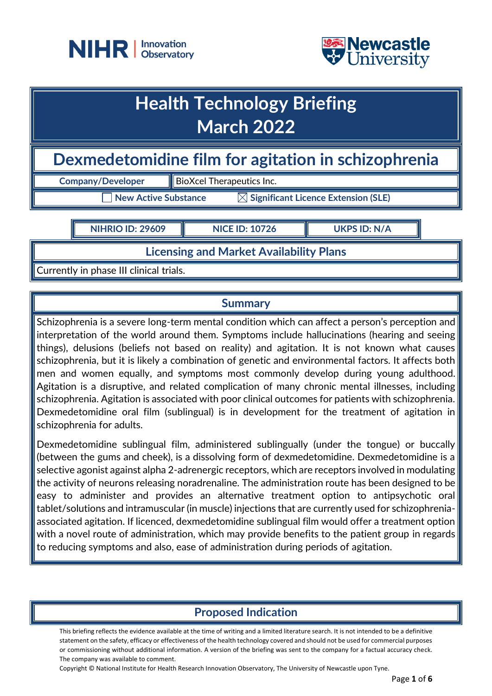



## **Health Technology Briefing March 2022**

**Dexmedetomidine film for agitation in schizophrenia**

**Company/Developer BioXcel Therapeutics Inc.** 

 $\exists$  New Active Substance  $\qquad \qquad \boxtimes$  Significant Licence Extension (SLE)

**NIHRIO ID: 29609 NICE ID: 10726 UKPS ID: N/A**

**Licensing and Market Availability Plans**

Currently in phase III clinical trials.

## **Summary**

Schizophrenia is a severe long-term mental condition which can affect a person's perception and interpretation of the world around them. Symptoms include hallucinations (hearing and seeing things), delusions (beliefs not based on reality) and agitation. It is not known what causes schizophrenia, but it is likely a combination of genetic and environmental factors. It affects both men and women equally, and symptoms most commonly develop during young adulthood. Agitation is a disruptive, and related complication of many chronic mental illnesses, including schizophrenia. Agitation is associated with poor clinical outcomes for patients with schizophrenia. Dexmedetomidine oral film (sublingual) is in development for the treatment of agitation in schizophrenia for adults.

Dexmedetomidine sublingual film, administered sublingually (under the tongue) or buccally (between the gums and cheek), is a dissolving form of dexmedetomidine. Dexmedetomidine is a selective agonist against alpha 2-adrenergic receptors, which are receptors involved in modulating the activity of neurons releasing noradrenaline. The administration route has been designed to be easy to administer and provides an alternative treatment option to antipsychotic oral tablet/solutions and intramuscular (in muscle) injections that are currently used for schizophreniaassociated agitation. If licenced, dexmedetomidine sublingual film would offer a treatment option with a novel route of administration, which may provide benefits to the patient group in regards to reducing symptoms and also, ease of administration during periods of agitation.

## **Proposed Indication**

This briefing reflects the evidence available at the time of writing and a limited literature search. It is not intended to be a definitive statement on the safety, efficacy or effectiveness of the health technology covered and should not be used for commercial purposes or commissioning without additional information. A version of the briefing was sent to the company for a factual accuracy check. The company was available to comment.

Copyright © National Institute for Health Research Innovation Observatory, The University of Newcastle upon Tyne.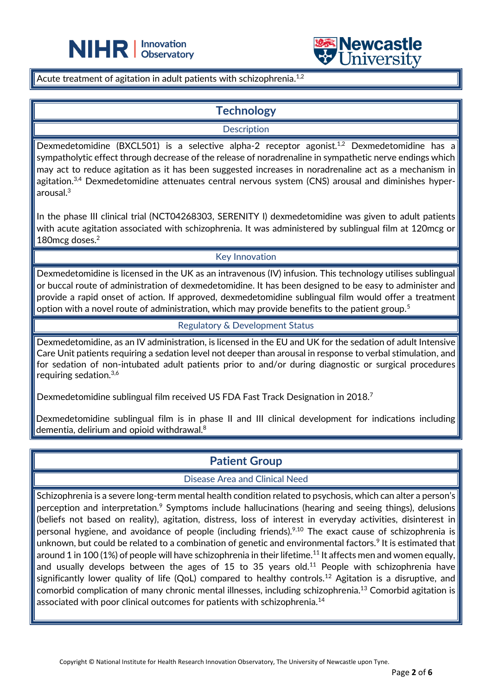



Acute treatment of agitation in adult patients with schizophrenia. $^{\rm 1,2}$ 

֦

## **Technology**

**Description** 

Dexmedetomidine (BXCL501) is a selective alpha-2 receptor agonist.<sup>1,2</sup> Dexmedetomidine has a sympatholytic effect through decrease of the release of noradrenaline in sympathetic nerve endings which may act to reduce agitation as it has been suggested increases in noradrenaline act as a mechanism in agitation.<sup>3,4</sup> Dexmedetomidine attenuates central nervous system (CNS) arousal and diminishes hyperarousal. 3

In the phase III clinical trial (NCT04268303, SERENITY I) dexmedetomidine was given to adult patients with acute agitation associated with schizophrenia. It was administered by sublingual film at 120mcg or 180mcg doses.<sup>2</sup>

#### Key Innovation

Dexmedetomidine is licensed in the UK as an intravenous (IV) infusion. This technology utilises sublingual or buccal route of administration of dexmedetomidine. It has been designed to be easy to administer and provide a rapid onset of action. If approved, dexmedetomidine sublingual film would offer a treatment option with a novel route of administration, which may provide benefits to the patient group.<sup>5</sup>

#### Regulatory & Development Status

Dexmedetomidine, as an IV administration, is licensed in the EU and UK for the sedation of adult Intensive Care Unit patients requiring a sedation level not deeper than arousal in response to verbal stimulation, and for sedation of non-intubated adult patients prior to and/or during diagnostic or surgical procedures requiring sedation.3,6

Dexmedetomidine sublingual film received US FDA Fast Track Designation in 2018.<sup>7</sup>

Dexmedetomidine sublingual film is in phase II and III clinical development for indications including dementia, delirium and opioid withdrawal. 8

## **Patient Group**

Disease Area and Clinical Need

Schizophrenia is a severe long-term mental health condition related to psychosis, which can alter a person's perception and interpretation.<sup>9</sup> Symptoms include hallucinations (hearing and seeing things), delusions (beliefs not based on reality), agitation, distress, loss of interest in everyday activities, disinterest in personal hygiene, and avoidance of people (including friends).<sup>9,10</sup> The exact cause of schizophrenia is unknown, but could be related to a combination of genetic and environmental factors.<sup>9</sup> It is estimated that around 1 in 100 (1%) of people will have schizophrenia in their lifetime.<sup>11</sup> It affects men and women equally, and usually develops between the ages of 15 to 35 years old.<sup>11</sup> People with schizophrenia have significantly lower quality of life (QoL) compared to healthy controls.<sup>12</sup> Agitation is a disruptive, and comorbid complication of many chronic mental illnesses, including schizophrenia.<sup>13</sup> Comorbid agitation is associated with poor clinical outcomes for patients with schizophrenia.<sup>14</sup>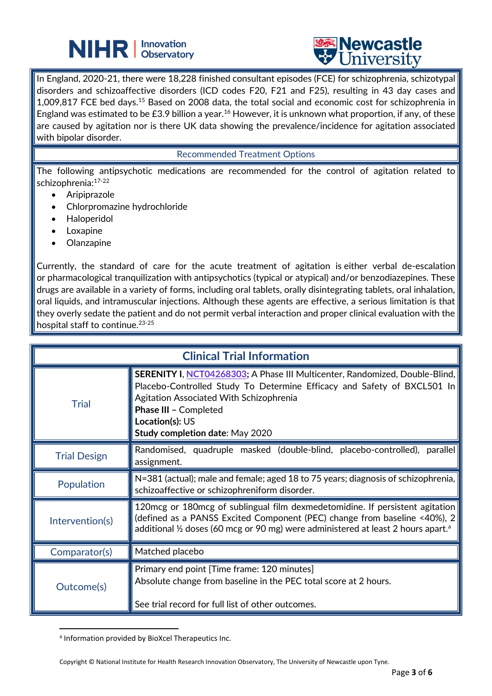## **NIHR** | Innovation



In England, 2020-21, there were 18,228 finished consultant episodes (FCE) for schizophrenia, schizotypal disorders and schizoaffective disorders (ICD codes F20, F21 and F25), resulting in 43 day cases and 1,009,817 FCE bed days.<sup>15</sup> Based on 2008 data, the total social and economic cost for schizophrenia in England was estimated to be £3.9 billion a year.<sup>16</sup> However, it is unknown what proportion, if any, of these are caused by agitation nor is there UK data showing the prevalence/incidence for agitation associated with bipolar disorder.

֦

#### Recommended Treatment Options

The following antipsychotic medications are recommended for the control of agitation related to schizophrenia:17-22

- Aripiprazole
- Chlorpromazine hydrochloride
- Haloperidol
- **Loxapine**
- **Olanzapine**

Currently, the standard of care for the acute treatment of agitation is either verbal de-escalation or pharmacological tranquilization with antipsychotics (typical or atypical) and/or benzodiazepines. These drugs are available in a variety of forms, including oral tablets, orally disintegrating tablets, oral inhalation, oral liquids, and intramuscular injections. Although these agents are effective, a serious limitation is that they overly sedate the patient and do not permit verbal interaction and proper clinical evaluation with the hospital staff to continue.23-25

| <b>Clinical Trial Information</b> |                                                                                                                                                                                                                                                                                                |
|-----------------------------------|------------------------------------------------------------------------------------------------------------------------------------------------------------------------------------------------------------------------------------------------------------------------------------------------|
| <b>Trial</b>                      | <b>SERENITY I, NCT04268303; A Phase III Multicenter, Randomized, Double-Blind,</b><br>Placebo-Controlled Study To Determine Efficacy and Safety of BXCL501 In<br>Agitation Associated With Schizophrenia<br>Phase III - Completed<br>Location(s): US<br><b>Study completion date: May 2020</b> |
| <b>Trial Design</b>               | Randomised, quadruple masked (double-blind, placebo-controlled), parallel<br>assignment.                                                                                                                                                                                                       |
| Population                        | N=381 (actual); male and female; aged 18 to 75 years; diagnosis of schizophrenia,<br>schizoaffective or schizophreniform disorder.                                                                                                                                                             |
| Intervention(s)                   | 120 mcg or 180 mcg of sublingual film dexmedetomidine. If persistent agitation<br>(defined as a PANSS Excited Component (PEC) change from baseline <40%), 2<br>additional 1/2 doses (60 mcg or 90 mg) were administered at least 2 hours apart. <sup>a</sup>                                   |
| Comparator(s)                     | Matched placebo                                                                                                                                                                                                                                                                                |
| Outcome(s)                        | Primary end point [Time frame: 120 minutes]<br>Absolute change from baseline in the PEC total score at 2 hours.<br>See trial record for full list of other outcomes.                                                                                                                           |

a Information provided by BioXcel Therapeutics Inc.

Copyright © National Institute for Health Research Innovation Observatory, The University of Newcastle upon Tyne.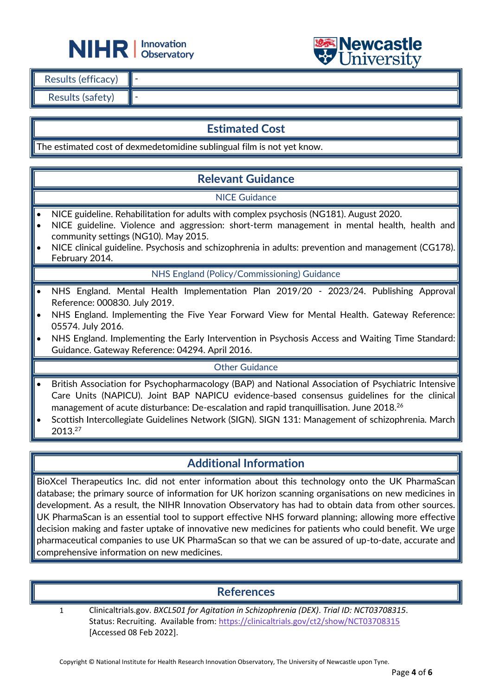



| Results (efficacy) |  |
|--------------------|--|
| Results (safety)   |  |

## **Estimated Cost**

The estimated cost of dexmedetomidine sublingual film is not yet know.

֦

## **Relevant Guidance**

#### NICE Guidance

- NICE guideline. Rehabilitation for adults with complex psychosis (NG181). August 2020.
- NICE guideline. Violence and aggression: short-term management in mental health, health and community settings (NG10). May 2015.
- NICE clinical guideline. Psychosis and schizophrenia in adults: prevention and management (CG178). February 2014.

NHS England (Policy/Commissioning) Guidance

- NHS England. Mental Health Implementation Plan 2019/20 2023/24. Publishing Approval Reference: 000830. July 2019.
- NHS England. Implementing the Five Year Forward View for Mental Health. Gateway Reference: 05574. July 2016.
- NHS England. Implementing the Early Intervention in Psychosis Access and Waiting Time Standard: Guidance. Gateway Reference: 04294. April 2016.

#### Other Guidance

- British Association for Psychopharmacology (BAP) and National Association of Psychiatric Intensive Care Units (NAPICU). Joint BAP NAPICU evidence-based consensus guidelines for the clinical management of acute disturbance: De-escalation and rapid tranquillisation. June 2018.<sup>26</sup>
- Scottish Intercollegiate Guidelines Network (SIGN). SIGN 131: Management of schizophrenia. March 2013.<sup>27</sup>

## **Additional Information**

BioXcel Therapeutics Inc. did not enter information about this technology onto the UK PharmaScan database; the primary source of information for UK horizon scanning organisations on new medicines in development. As a result, the NIHR Innovation Observatory has had to obtain data from other sources. UK PharmaScan is an essential tool to support effective NHS forward planning; allowing more effective decision making and faster uptake of innovative new medicines for patients who could benefit. We urge pharmaceutical companies to use UK PharmaScan so that we can be assured of up-to-date, accurate and comprehensive information on new medicines.

## **References**

1 Clinicaltrials.gov. *BXCL501 for Agitation in Schizophrenia (DEX)*. *Trial ID: NCT03708315*. Status: Recruiting. Available from[: https://clinicaltrials.gov/ct2/show/NCT03708315](https://clinicaltrials.gov/ct2/show/NCT03708315) [Accessed 08 Feb 2022].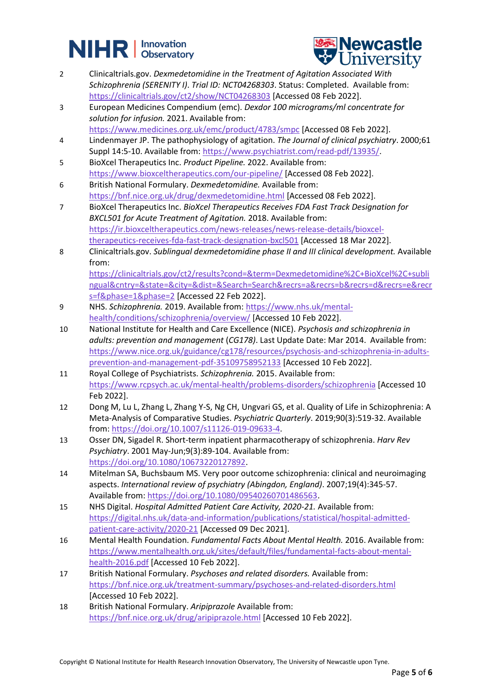# **NIHR** | Innovation



- 2 Clinicaltrials.gov. *Dexmedetomidine in the Treatment of Agitation Associated With Schizophrenia (SERENITY I)*. *Trial ID: NCT04268303*. Status: Completed. Available from: <https://clinicaltrials.gov/ct2/show/NCT04268303> [Accessed 08 Feb 2022].
- 3 European Medicines Compendium (emc). *Dexdor 100 micrograms/ml concentrate for solution for infusion.* 2021. Available from: <https://www.medicines.org.uk/emc/product/4783/smpc> [Accessed 08 Feb 2022].
- 4 Lindenmayer JP. The pathophysiology of agitation. *The Journal of clinical psychiatry*. 2000;61 Suppl 14:5-10. Available from: [https://www.psychiatrist.com/read-pdf/13935/.](https://www.psychiatrist.com/read-pdf/13935/)
- 5 BioXcel Therapeutics Inc. *Product Pipeline.* 2022. Available from: <https://www.bioxceltherapeutics.com/our-pipeline/> [Accessed 08 Feb 2022].
- 6 British National Formulary. *Dexmedetomidine.* Available from: <https://bnf.nice.org.uk/drug/dexmedetomidine.html> [Accessed 08 Feb 2022].
- 7 BioXcel Therapeutics Inc. *BioXcel Therapeutics Receives FDA Fast Track Designation for BXCL501 for Acute Treatment of Agitation.* 2018. Available from: [https://ir.bioxceltherapeutics.com/news-releases/news-release-details/bioxcel](https://ir.bioxceltherapeutics.com/news-releases/news-release-details/bioxcel-therapeutics-receives-fda-fast-track-designation-bxcl501)[therapeutics-receives-fda-fast-track-designation-bxcl501](https://ir.bioxceltherapeutics.com/news-releases/news-release-details/bioxcel-therapeutics-receives-fda-fast-track-designation-bxcl501) [Accessed 18 Mar 2022].
- 8 Clinicaltrials.gov. *Sublingual dexmedetomidine phase II and III clinical development.* Available from:

[https://clinicaltrials.gov/ct2/results?cond=&term=Dexmedetomidine%2C+BioXcel%2C+subli](https://clinicaltrials.gov/ct2/results?cond=&term=Dexmedetomidine%2C+BioXcel%2C+sublingual&cntry=&state=&city=&dist=&Search=Search&recrs=a&recrs=b&recrs=d&recrs=e&recrs=f&phase=1&phase=2) [ngual&cntry=&state=&city=&dist=&Search=Search&recrs=a&recrs=b&recrs=d&recrs=e&recr](https://clinicaltrials.gov/ct2/results?cond=&term=Dexmedetomidine%2C+BioXcel%2C+sublingual&cntry=&state=&city=&dist=&Search=Search&recrs=a&recrs=b&recrs=d&recrs=e&recrs=f&phase=1&phase=2) [s=f&phase=1&phase=2](https://clinicaltrials.gov/ct2/results?cond=&term=Dexmedetomidine%2C+BioXcel%2C+sublingual&cntry=&state=&city=&dist=&Search=Search&recrs=a&recrs=b&recrs=d&recrs=e&recrs=f&phase=1&phase=2) [Accessed 22 Feb 2022].

- 9 NHS. *Schizophrenia.* 2019. Available from[: https://www.nhs.uk/mental](https://www.nhs.uk/mental-health/conditions/schizophrenia/overview/)[health/conditions/schizophrenia/overview/](https://www.nhs.uk/mental-health/conditions/schizophrenia/overview/) [Accessed 10 Feb 2022].
- 10 National Institute for Health and Care Excellence (NICE). *Psychosis and schizophrenia in adults: prevention and management* (*CG178)*. Last Update Date: Mar 2014. Available from: [https://www.nice.org.uk/guidance/cg178/resources/psychosis-and-schizophrenia-in-adults](https://www.nice.org.uk/guidance/cg178/resources/psychosis-and-schizophrenia-in-adults-prevention-and-management-pdf-35109758952133)[prevention-and-management-pdf-35109758952133](https://www.nice.org.uk/guidance/cg178/resources/psychosis-and-schizophrenia-in-adults-prevention-and-management-pdf-35109758952133) [Accessed 10 Feb 2022].
- 11 Royal College of Psychiatrists. *Schizophrenia.* 2015. Available from: <https://www.rcpsych.ac.uk/mental-health/problems-disorders/schizophrenia> [Accessed 10 Feb 2022].
- 12 Dong M, Lu L, Zhang L, Zhang Y-S, Ng CH, Ungvari GS, et al. Quality of Life in Schizophrenia: A Meta-Analysis of Comparative Studies. *Psychiatric Quarterly*. 2019;90(3):519-32. Available from: [https://doi.org/10.1007/s11126-019-09633-4.](https://doi.org/10.1007/s11126-019-09633-4)
- 13 Osser DN, Sigadel R. Short-term inpatient pharmacotherapy of schizophrenia. *Harv Rev Psychiatry*. 2001 May-Jun;9(3):89-104. Available from: [https://doi.org/10.1080/10673220127892.](https://doi.org/10.1080/10673220127892)
- 14 Mitelman SA, Buchsbaum MS. Very poor outcome schizophrenia: clinical and neuroimaging aspects. *International review of psychiatry (Abingdon, England)*. 2007;19(4):345-57. Available from[: https://doi.org/10.1080/09540260701486563.](https://doi.org/10.1080/09540260701486563)
- 15 NHS Digital. *Hospital Admitted Patient Care Activity, 2020-21.* Available from: [https://digital.nhs.uk/data-and-information/publications/statistical/hospital-admitted](https://digital.nhs.uk/data-and-information/publications/statistical/hospital-admitted-patient-care-activity/2020-21)[patient-care-activity/2020-21](https://digital.nhs.uk/data-and-information/publications/statistical/hospital-admitted-patient-care-activity/2020-21) [Accessed 09 Dec 2021].
- 16 Mental Health Foundation. *Fundamental Facts About Mental Health.* 2016. Available from: [https://www.mentalhealth.org.uk/sites/default/files/fundamental-facts-about-mental](https://www.mentalhealth.org.uk/sites/default/files/fundamental-facts-about-mental-health-2016.pdf)[health-2016.pdf](https://www.mentalhealth.org.uk/sites/default/files/fundamental-facts-about-mental-health-2016.pdf) [Accessed 10 Feb 2022].
- 17 British National Formulary. *Psychoses and related disorders.* Available from: <https://bnf.nice.org.uk/treatment-summary/psychoses-and-related-disorders.html> [Accessed 10 Feb 2022].
- 18 British National Formulary. *Aripiprazole* Available from: <https://bnf.nice.org.uk/drug/aripiprazole.html> [Accessed 10 Feb 2022].